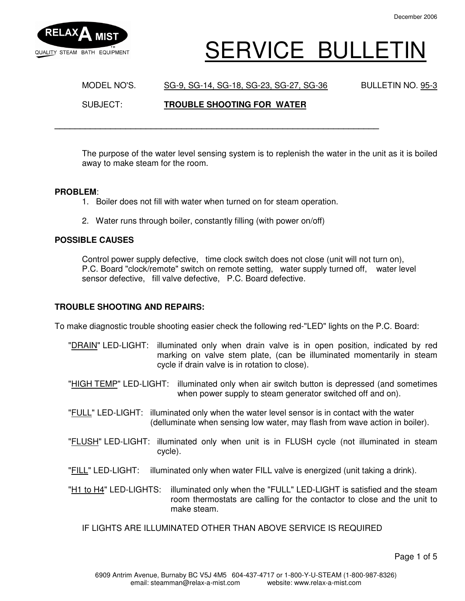

# SERVICE BULLETIN

MODEL NO'S. SG-9, SG-14, SG-18, SG-23, SG-27, SG-36 BULLETIN NO. 95-3 SUBJECT: **TROUBLE SHOOTING FOR WATER**

The purpose of the water level sensing system is to replenish the water in the unit as it is boiled away to make steam for the room.

#### **PROBLEM**:

1. Boiler does not fill with water when turned on for steam operation.

**\_\_\_\_\_\_\_\_\_\_\_\_\_\_\_\_\_\_\_\_\_\_\_\_\_\_\_\_\_\_\_\_\_\_\_\_\_\_\_\_\_\_\_\_\_\_\_\_\_\_\_\_\_\_\_\_\_\_\_\_\_\_\_\_** 

2. Water runs through boiler, constantly filling (with power on/off)

## **POSSIBLE CAUSES**

 Control power supply defective, time clock switch does not close (unit will not turn on), P.C. Board "clock/remote" switch on remote setting, water supply turned off, water level sensor defective, fill valve defective, P.C. Board defective.

## **TROUBLE SHOOTING AND REPAIRS:**

To make diagnostic trouble shooting easier check the following red-"LED" lights on the P.C. Board:

- "DRAIN" LED-LIGHT: illuminated only when drain valve is in open position, indicated by red marking on valve stem plate, (can be illuminated momentarily in steam cycle if drain valve is in rotation to close).
- "HIGH TEMP" LED-LIGHT: illuminated only when air switch button is depressed (and sometimes when power supply to steam generator switched off and on).
- "FULL" LED-LIGHT: illuminated only when the water level sensor is in contact with the water (delluminate when sensing low water, may flash from wave action in boiler).
- "FLUSH" LED-LIGHT: illuminated only when unit is in FLUSH cycle (not illuminated in steam cycle).
- "FILL" LED-LIGHT: illuminated only when water FILL valve is energized (unit taking a drink).
- "H1 to H4" LED-LIGHTS: illuminated only when the "FULL" LED-LIGHT is satisfied and the steam room thermostats are calling for the contactor to close and the unit to make steam.
	- IF LIGHTS ARE ILLUMINATED OTHER THAN ABOVE SERVICE IS REQUIRED

Page 1 of 5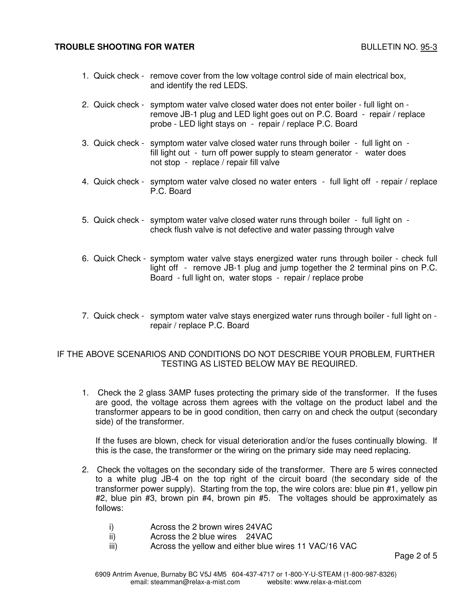## **TROUBLE SHOOTING FOR WATER** BULLETIN NO. 95-3

- 1. Quick check remove cover from the low voltage control side of main electrical box, and identify the red LEDS.
- 2. Quick check symptom water valve closed water does not enter boiler full light on remove JB-1 plug and LED light goes out on P.C. Board - repair / replace probe - LED light stays on - repair / replace P.C. Board
- 3. Quick check symptom water valve closed water runs through boiler full light on fill light out - turn off power supply to steam generator - water does not stop - replace / repair fill valve
- 4. Quick check symptom water valve closed no water enters full light off repair / replace P.C. Board
- 5. Quick check symptom water valve closed water runs through boiler full light on check flush valve is not defective and water passing through valve
- 6. Quick Check symptom water valve stays energized water runs through boiler check full light off - remove JB-1 plug and jump together the 2 terminal pins on P.C. Board - full light on, water stops - repair / replace probe
- 7. Quick check symptom water valve stays energized water runs through boiler full light on repair / replace P.C. Board

## IF THE ABOVE SCENARIOS AND CONDITIONS DO NOT DESCRIBE YOUR PROBLEM, FURTHER TESTING AS LISTED BELOW MAY BE REQUIRED.

 1. Check the 2 glass 3AMP fuses protecting the primary side of the transformer. If the fuses are good, the voltage across them agrees with the voltage on the product label and the transformer appears to be in good condition, then carry on and check the output (secondary side) of the transformer.

 If the fuses are blown, check for visual deterioration and/or the fuses continually blowing. If this is the case, the transformer or the wiring on the primary side may need replacing.

- 2. Check the voltages on the secondary side of the transformer. There are 5 wires connected to a white plug JB-4 on the top right of the circuit board (the secondary side of the transformer power supply). Starting from the top, the wire colors are: blue pin #1, yellow pin #2, blue pin #3, brown pin #4, brown pin #5. The voltages should be approximately as follows:
	- i) Across the 2 brown wires 24VAC
	- ii) Across the 2 blue wires 24VAC
	- iii) Across the yellow and either blue wires 11 VAC/16 VAC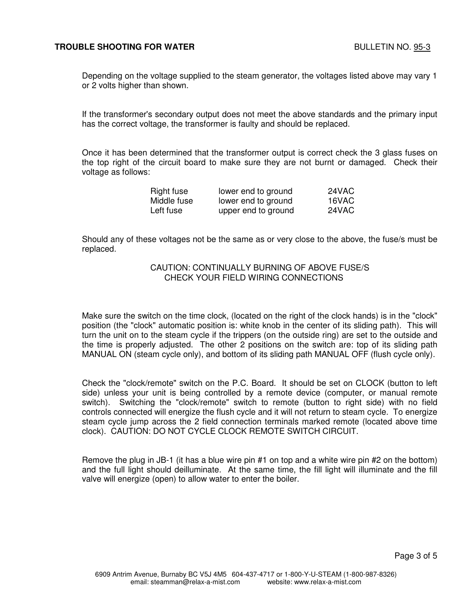Depending on the voltage supplied to the steam generator, the voltages listed above may vary 1 or 2 volts higher than shown.

If the transformer's secondary output does not meet the above standards and the primary input has the correct voltage, the transformer is faulty and should be replaced.

Once it has been determined that the transformer output is correct check the 3 glass fuses on the top right of the circuit board to make sure they are not burnt or damaged. Check their voltage as follows:

| Right fuse  | lower end to ground | 24VAC |
|-------------|---------------------|-------|
| Middle fuse | lower end to ground | 16VAC |
| Left fuse   | upper end to ground | 24VAC |

 Should any of these voltages not be the same as or very close to the above, the fuse/s must be replaced.

## CAUTION: CONTINUALLY BURNING OF ABOVE FUSE/S CHECK YOUR FIELD WIRING CONNECTIONS

Make sure the switch on the time clock, (located on the right of the clock hands) is in the "clock" position (the "clock" automatic position is: white knob in the center of its sliding path). This will turn the unit on to the steam cycle if the trippers (on the outside ring) are set to the outside and the time is properly adjusted. The other 2 positions on the switch are: top of its sliding path MANUAL ON (steam cycle only), and bottom of its sliding path MANUAL OFF (flush cycle only).

Check the "clock/remote" switch on the P.C. Board. It should be set on CLOCK (button to left side) unless your unit is being controlled by a remote device (computer, or manual remote switch). Switching the "clock/remote" switch to remote (button to right side) with no field controls connected will energize the flush cycle and it will not return to steam cycle. To energize steam cycle jump across the 2 field connection terminals marked remote (located above time clock). CAUTION: DO NOT CYCLE CLOCK REMOTE SWITCH CIRCUIT.

Remove the plug in JB-1 (it has a blue wire pin #1 on top and a white wire pin #2 on the bottom) and the full light should deilluminate. At the same time, the fill light will illuminate and the fill valve will energize (open) to allow water to enter the boiler.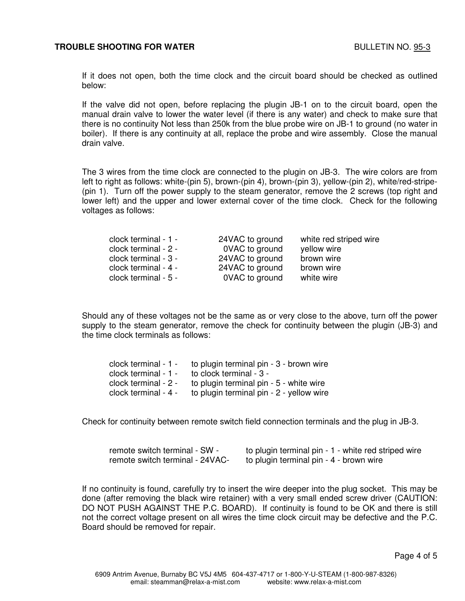## **TROUBLE SHOOTING FOR WATER BULLETIN NO. 95-3**

If it does not open, both the time clock and the circuit board should be checked as outlined below:

If the valve did not open, before replacing the plugin JB-1 on to the circuit board, open the manual drain valve to lower the water level (if there is any water) and check to make sure that there is no continuity Not less than 250k from the blue probe wire on JB-1 to ground (no water in boiler). If there is any continuity at all, replace the probe and wire assembly. Close the manual drain valve.

The 3 wires from the time clock are connected to the plugin on JB-3. The wire colors are from left to right as follows: white-(pin 5), brown-(pin 4), brown-(pin 3), yellow-(pin 2), white/red-stripe- (pin 1). Turn off the power supply to the steam generator, remove the 2 screws (top right and lower left) and the upper and lower external cover of the time clock. Check for the following voltages as follows:

| clock terminal - 1 - | 24VAC to ground | white red striped wire |
|----------------------|-----------------|------------------------|
| clock terminal - 2 - | 0VAC to ground  | yellow wire            |
| clock terminal - 3 - | 24VAC to ground | brown wire             |
| clock terminal - 4 - | 24VAC to ground | brown wire             |
| clock terminal - 5 - | 0VAC to ground  | white wire             |

Should any of these voltages not be the same as or very close to the above, turn off the power supply to the steam generator, remove the check for continuity between the plugin (JB-3) and the time clock terminals as follows:

|                      | clock terminal $-1 -$ to plugin terminal pin $-3 -$ brown wire |
|----------------------|----------------------------------------------------------------|
| clock terminal - 1 - | to clock terminal - 3 -                                        |
| clock terminal - 2 - | to plugin terminal pin - 5 - white wire                        |
| clock terminal - 4 - | to plugin terminal pin - 2 - yellow wire                       |

Check for continuity between remote switch field connection terminals and the plug in JB-3.

| remote switch terminal - SW -   | to plugin terminal pin - 1 - white red striped wire |
|---------------------------------|-----------------------------------------------------|
| remote switch terminal - 24VAC- | to plugin terminal pin - 4 - brown wire             |

If no continuity is found, carefully try to insert the wire deeper into the plug socket. This may be done (after removing the black wire retainer) with a very small ended screw driver (CAUTION: DO NOT PUSH AGAINST THE P.C. BOARD). If continuity is found to be OK and there is still not the correct voltage present on all wires the time clock circuit may be defective and the P.C. Board should be removed for repair.

Page 4 of 5